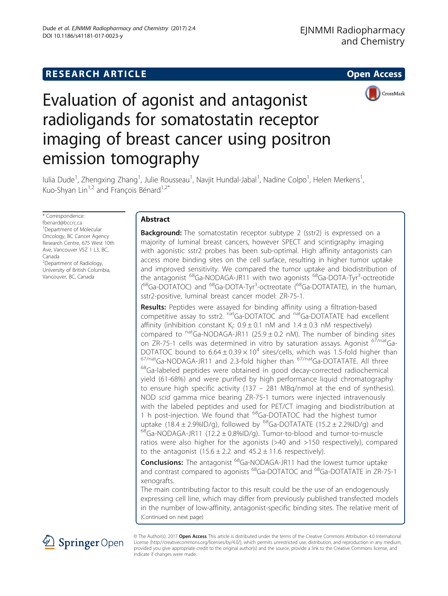# **RESEARCH ARTICLE Example 2014 CONSIDERING A RESEARCH ARTICLE**



# Evaluation of agonist and antagonist radioligands for somatostatin receptor imaging of breast cancer using positron emission tomography

lulia Dude<sup>1</sup>, Zhengxing Zhang<sup>1</sup>, Julie Rousseau<sup>1</sup>, Navjit Hundal-Jabal<sup>1</sup>, Nadine Colpo<sup>1</sup>, Helen Merkens<sup>1</sup> , Kuo-Shyan Lin<sup>1,2</sup> and François Bénard<sup>1,2\*</sup>

\* Correspondence:

[fbenard@bccrc.ca](mailto:fbenard@bccrc.ca) <sup>1</sup> Department of Molecular Oncology, BC Cancer Agency Research Centre, 675 West 10th Ave, Vancouver V5Z 1 L3, BC, Canada <sup>2</sup>Department of Radiology,

University of British Columbia, Vancouver, BC, Canada

# Abstract

**Background:** The somatostatin receptor subtype 2 (sstr2) is expressed on a majority of luminal breast cancers, however SPECT and scintigraphy imaging with agonistic sstr2 probes has been sub-optimal. High affinity antagonists can access more binding sites on the cell surface, resulting in higher tumor uptake and improved sensitivity. We compared the tumor uptake and biodistribution of the antagonist <sup>68</sup>Ga-NODAGA-JR11 with two agonists <sup>68</sup>Ga-DOTA-Tyr<sup>3</sup>-octreotide (<sup>68</sup>Ga-DOTATOC) and <sup>68</sup>Ga-DOTA-Tyr<sup>3</sup>-octreotate (<sup>68</sup>Ga-DOTATATE), in the human, sstr2-positive, luminal breast cancer model: ZR-75-1.

Results: Peptides were assayed for binding affinity using a filtration-based competitive assay to sstr2. natGa-DOTATOC and natGa-DOTATATE had excellent affinity (inhibition constant  $K_i$ : 0.9  $\pm$  0.1 nM and 1.4  $\pm$  0.3 nM respectively) compared to  $<sup>nat</sup>Ga-NODAGA-JR11$  (25.9 ± 0.2 nM). The number of binding sites</sup> on ZR-75-1 cells was determined in vitro by saturation assays. Agonist <sup>67/nat</sup>Ga-DOTATOC bound to  $6.64 \pm 0.39 \times 10^4$  sites/cells, which was 1.5-fold higher than  $67$ /natGa-NODAGA-JR11 and 2.3-fold higher than  $67$ /natGa-DOTATATE. All three  $68$ Ga-labeled peptides were obtained in good decay-corrected radiochemical yield (61-68%) and were purified by high performance liquid chromatography to ensure high specific activity (137 – 281 MBq/nmol at the end of synthesis). NOD scid gamma mice bearing ZR-75-1 tumors were injected intravenously with the labeled peptides and used for PET/CT imaging and biodistribution at 1 h post-injection. We found that <sup>68</sup>Ga-DOTATOC had the highest tumor uptake (18.4 ± 2.9%ID/g), followed by <sup>68</sup>Ga-DOTATATE (15.2 ± 2.2%ID/g) and  $^{68}$ Ga-NODAGA-JR11 (12.2 ± 0.8%ID/g). Tumor-to-blood and tumor-to-muscle ratios were also higher for the agonists (>40 and >150 respectively), compared to the antagonist  $(15.6 \pm 2.2 \text{ and } 45.2 \pm 11.6 \text{ respectively}).$ 

Conclusions: The antagonist <sup>68</sup>Ga-NODAGA-JR11 had the lowest tumor uptake and contrast compared to agonists <sup>68</sup>Ga-DOTATOC and <sup>68</sup>Ga-DOTATATE in ZR-75-1 xenografts.

The main contributing factor to this result could be the use of an endogenously expressing cell line, which may differ from previously published transfected models in the number of low-affinity, antagonist-specific binding sites. The relative merit of (Continued on next page)



© The Author(s). 2017 Open Access This article is distributed under the terms of the Creative Commons Attribution 4.0 International License [\(http://creativecommons.org/licenses/by/4.0/](http://creativecommons.org/licenses/by/4.0/)), which permits unrestricted use, distribution, and reproduction in any medium, provided you give appropriate credit to the original author(s) and the source, provide a link to the Creative Commons license, and indicate if changes were made.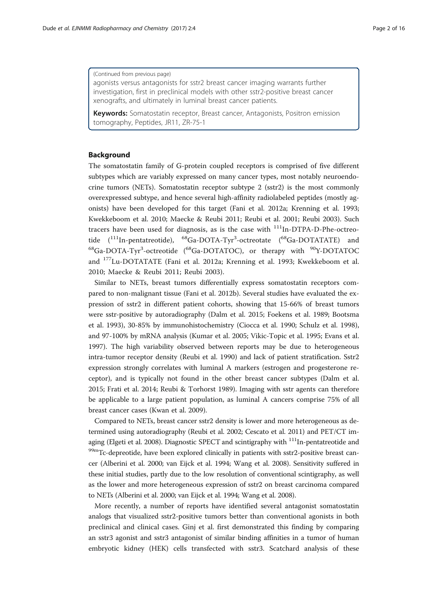#### (Continued from previous page)

agonists versus antagonists for sstr2 breast cancer imaging warrants further investigation, first in preclinical models with other sstr2-positive breast cancer xenografts, and ultimately in luminal breast cancer patients.

Keywords: Somatostatin receptor, Breast cancer, Antagonists, Positron emission tomography, Peptides, JR11, ZR-75-1

# Background

The somatostatin family of G-protein coupled receptors is comprised of five different subtypes which are variably expressed on many cancer types, most notably neuroendocrine tumors (NETs). Somatostatin receptor subtype 2 (sstr2) is the most commonly overexpressed subtype, and hence several high-affinity radiolabeled peptides (mostly agonists) have been developed for this target (Fani et al. [2012a;](#page-14-0) Krenning et al. [1993](#page-14-0); Kwekkeboom et al. [2010;](#page-14-0) Maecke & Reubi [2011;](#page-14-0) Reubi et al. [2001](#page-15-0); Reubi [2003\)](#page-15-0). Such tracers have been used for diagnosis, as is the case with  $111In-DTPA-D-Phe-octreo$ tide (<sup>111</sup>In-pentatreotide), <sup>68</sup>Ga-DOTA-Tyr<sup>3</sup>-octreotate (<sup>68</sup>Ga-DOTATATE) and <sup>68</sup>Ga-DOTA-Tyr<sup>3</sup>-octreotide (<sup>68</sup>Ga-DOTATOC), or therapy with <sup>90</sup>Y-DOTATOC and 177Lu-DOTATATE (Fani et al. [2012a](#page-14-0); Krenning et al. [1993](#page-14-0); Kwekkeboom et al. [2010;](#page-14-0) Maecke & Reubi [2011;](#page-14-0) Reubi [2003\)](#page-15-0).

Similar to NETs, breast tumors differentially express somatostatin receptors compared to non-malignant tissue (Fani et al. [2012b\)](#page-14-0). Several studies have evaluated the expression of sstr2 in different patient cohorts, showing that 15-66% of breast tumors were sstr-positive by autoradiography (Dalm et al. [2015;](#page-14-0) Foekens et al. [1989](#page-14-0); Bootsma et al. [1993](#page-14-0)), 30-85% by immunohistochemistry (Ciocca et al. [1990;](#page-14-0) Schulz et al. [1998](#page-15-0)), and 97-100% by mRNA analysis (Kumar et al. [2005](#page-14-0); Vikic-Topic et al. [1995;](#page-15-0) Evans et al. [1997](#page-14-0)). The high variability observed between reports may be due to heterogeneous intra-tumor receptor density (Reubi et al. [1990](#page-15-0)) and lack of patient stratification. Sstr2 expression strongly correlates with luminal A markers (estrogen and progesterone receptor), and is typically not found in the other breast cancer subtypes (Dalm et al. [2015](#page-14-0); Frati et al. [2014;](#page-14-0) Reubi & Torhorst [1989\)](#page-15-0). Imaging with sstr agents can therefore be applicable to a large patient population, as luminal A cancers comprise 75% of all breast cancer cases (Kwan et al. [2009](#page-14-0)).

Compared to NETs, breast cancer sstr2 density is lower and more heterogeneous as determined using autoradiography (Reubi et al. [2002;](#page-15-0) Cescato et al. [2011](#page-14-0)) and PET/CT im-aging (Elgeti et al. [2008](#page-14-0)). Diagnostic SPECT and scintigraphy with  $111$ In-pentatreotide and 99mTc-depreotide, have been explored clinically in patients with sstr2-positive breast cancer (Alberini et al. [2000;](#page-14-0) van Eijck et al. [1994;](#page-15-0) Wang et al. [2008](#page-15-0)). Sensitivity suffered in these initial studies, partly due to the low resolution of conventional scintigraphy, as well as the lower and more heterogeneous expression of sstr2 on breast carcinoma compared to NETs (Alberini et al. [2000](#page-14-0); van Eijck et al. [1994](#page-15-0); Wang et al. [2008\)](#page-15-0).

More recently, a number of reports have identified several antagonist somatostatin analogs that visualized sstr2-positive tumors better than conventional agonists in both preclinical and clinical cases. Ginj et al. first demonstrated this finding by comparing an sstr3 agonist and sstr3 antagonist of similar binding affinities in a tumor of human embryotic kidney (HEK) cells transfected with sstr3. Scatchard analysis of these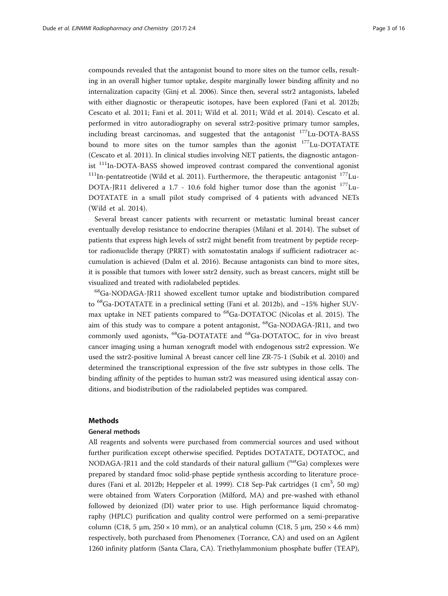compounds revealed that the antagonist bound to more sites on the tumor cells, resulting in an overall higher tumor uptake, despite marginally lower binding affinity and no internalization capacity (Ginj et al. [2006\)](#page-14-0). Since then, several sstr2 antagonists, labeled with either diagnostic or therapeutic isotopes, have been explored (Fani et al. [2012b](#page-14-0); Cescato et al. [2011;](#page-14-0) Fani et al. [2011;](#page-14-0) Wild et al. [2011;](#page-15-0) Wild et al. [2014\)](#page-15-0). Cescato et al. performed in vitro autoradiography on several sstr2-positive primary tumor samples, including breast carcinomas, and suggested that the antagonist <sup>177</sup>Lu-DOTA-BASS bound to more sites on the tumor samples than the agonist  $177$ Lu-DOTATATE (Cescato et al. [2011\)](#page-14-0). In clinical studies involving NET patients, the diagnostic antagonist  $111$ In-DOTA-BASS showed improved contrast compared the conventional agonist  $111$ In-pentatreotide (Wild et al. [2011\)](#page-15-0). Furthermore, the therapeutic antagonist  $177$ Lu-DOTA-JR11 delivered a 1.7 - 10.6 fold higher tumor dose than the agonist  $177$ Lu-DOTATATE in a small pilot study comprised of 4 patients with advanced NETs (Wild et al. [2014](#page-15-0)).

Several breast cancer patients with recurrent or metastatic luminal breast cancer eventually develop resistance to endocrine therapies (Milani et al. [2014](#page-14-0)). The subset of patients that express high levels of sstr2 might benefit from treatment by peptide receptor radionuclide therapy (PRRT) with somatostatin analogs if sufficient radiotracer accumulation is achieved (Dalm et al. [2016\)](#page-14-0). Because antagonists can bind to more sites, it is possible that tumors with lower sstr2 density, such as breast cancers, might still be visualized and treated with radiolabeled peptides.

 $^{68}$ Ga-NODAGA-JR11 showed excellent tumor uptake and biodistribution compared to  ${}^{68}$ Ga-DOTATATE in a preclinical setting (Fani et al. [2012b](#page-14-0)), and  $~15\%$  higher SUV-max uptake in NET patients compared to <sup>68</sup>Ga-DOTATOC (Nicolas et al. [2015](#page-15-0)). The aim of this study was to compare a potent antagonist, <sup>68</sup>Ga-NODAGA-JR11, and two commonly used agonists, <sup>68</sup>Ga-DOTATATE and <sup>68</sup>Ga-DOTATOC, for in vivo breast cancer imaging using a human xenograft model with endogenous sstr2 expression. We used the sstr2-positive luminal A breast cancer cell line ZR-75-1 (Subik et al. [2010](#page-15-0)) and determined the transcriptional expression of the five sstr subtypes in those cells. The binding affinity of the peptides to human sstr2 was measured using identical assay conditions, and biodistribution of the radiolabeled peptides was compared.

#### Methods

# General methods

All reagents and solvents were purchased from commercial sources and used without further purification except otherwise specified. Peptides DOTATATE, DOTATOC, and NODAGA-JR11 and the cold standards of their natural gallium  $(natGa)$  complexes were prepared by standard fmoc solid-phase peptide synthesis according to literature proce-dures (Fani et al. [2012b;](#page-14-0) Heppeler et al. [1999\)](#page-14-0). C18 Sep-Pak cartridges (1 cm<sup>3</sup>, 50 mg) were obtained from Waters Corporation (Milford, MA) and pre-washed with ethanol followed by deionized (DI) water prior to use. High performance liquid chromatography (HPLC) purification and quality control were performed on a semi-preparative column (C18, 5 μm,  $250 \times 10$  mm), or an analytical column (C18, 5 μm,  $250 \times 4.6$  mm) respectively, both purchased from Phenomenex (Torrance, CA) and used on an Agilent 1260 infinity platform (Santa Clara, CA). Triethylammonium phosphate buffer (TEAP),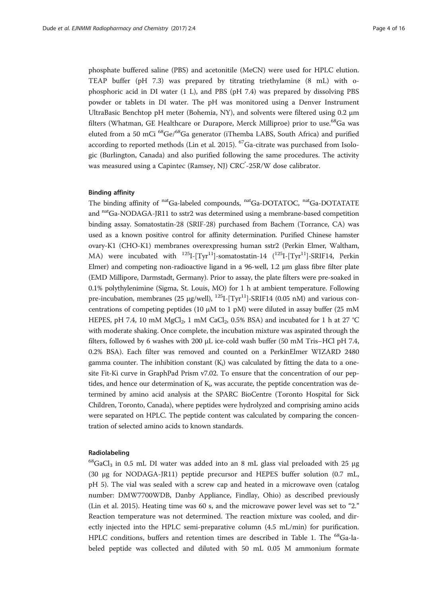phosphate buffered saline (PBS) and acetonitile (MeCN) were used for HPLC elution. TEAP buffer (pH 7.3) was prepared by titrating triethylamine (8 mL) with ophosphoric acid in DI water (1 L), and PBS (pH 7.4) was prepared by dissolving PBS powder or tablets in DI water. The pH was monitored using a Denver Instrument UltraBasic Benchtop pH meter (Bohemia, NY), and solvents were filtered using 0.2 μm filters (Whatman, GE Healthcare or Durapore, Merck Milliproe) prior to use.<sup>68</sup>Ga was eluted from a 50 mCi <sup>68</sup>Ge/<sup>68</sup>Ga generator (iThemba LABS, South Africa) and purified according to reported methods (Lin et al. [2015](#page-14-0)). 67Ga-citrate was purchased from Isologic (Burlington, Canada) and also purified following the same procedures. The activity was measured using a Capintec (Ramsey, NJ) CRC<sup>°</sup>-25R/W dose calibrator.

#### Binding affinity

The binding affinity of natGa-labeled compounds, natGa-DOTATOC, natGa-DOTATATE and natGa-NODAGA-JR11 to sstr2 was determined using a membrane-based competition binding assay. Somatostatin-28 (SRIF-28) purchased from Bachem (Torrance, CA) was used as a known positive control for affinity determination. Purified Chinese hamster ovary-K1 (CHO-K1) membranes overexpressing human sstr2 (Perkin Elmer, Waltham, MA) were incubated with  $^{125}I$ -[Tyr<sup>11</sup>]-somatostatin-14 ( $^{125}I$ -[Tyr<sup>11</sup>]-SRIF14, Perkin Elmer) and competing non-radioactive ligand in a 96-well, 1.2 μm glass fibre filter plate (EMD Millipore, Darmstadt, Germany). Prior to assay, the plate filters were pre-soaked in 0.1% polythylenimine (Sigma, St. Louis, MO) for 1 h at ambient temperature. Following pre-incubation, membranes (25  $\mu$ g/well), <sup>125</sup>I-[Tyr<sup>11</sup>]-SRIF14 (0.05 nM) and various concentrations of competing peptides (10  $\mu$ M to 1 pM) were diluted in assay buffer (25 mM HEPES, pH 7.4, 10 mM MgCl<sub>2</sub>, 1 mM CaCl<sub>2</sub>, 0.5% BSA) and incubated for 1 h at 27 °C with moderate shaking. Once complete, the incubation mixture was aspirated through the filters, followed by 6 washes with 200 μL ice-cold wash buffer (50 mM Tris–HCl pH 7.4, 0.2% BSA). Each filter was removed and counted on a PerkinElmer WIZARD 2480 gamma counter. The inhibition constant  $(K_i)$  was calculated by fitting the data to a onesite Fit-Ki curve in GraphPad Prism v7.02. To ensure that the concentration of our peptides, and hence our determination of  $\mathrm{K}_{\mathrm{\mathfrak{p}}}$  was accurate, the peptide concentration was determined by amino acid analysis at the SPARC BioCentre (Toronto Hospital for Sick Children, Toronto, Canada), where peptides were hydrolyzed and comprising amino acids were separated on HPLC. The peptide content was calculated by comparing the concentration of selected amino acids to known standards.

# Radiolabeling

 $^{68}$ GaCl<sub>3</sub> in 0.5 mL DI water was added into an 8 mL glass vial preloaded with 25 µg (30 μg for NODAGA-JR11) peptide precursor and HEPES buffer solution (0.7 mL, pH 5). The vial was sealed with a screw cap and heated in a microwave oven (catalog number: DMW7700WDB, Danby Appliance, Findlay, Ohio) as described previously (Lin et al. [2015](#page-14-0)). Heating time was 60 s, and the microwave power level was set to "2." Reaction temperature was not determined. The reaction mixture was cooled, and directly injected into the HPLC semi-preparative column (4.5 mL/min) for purification. HPLC conditions, buffers and retention times are described in Table [1.](#page-4-0) The  $^{68}Ga$ -labeled peptide was collected and diluted with 50 mL 0.05 M ammonium formate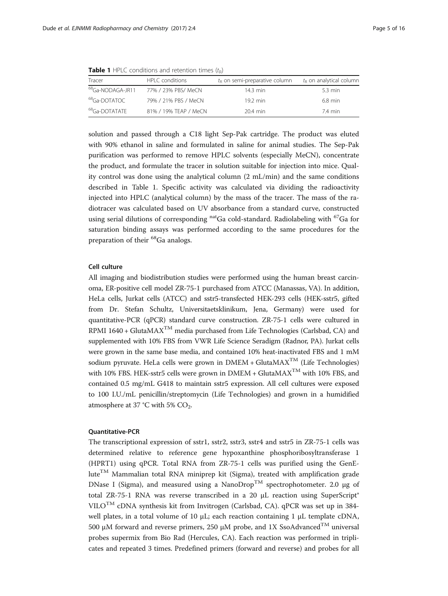<span id="page-4-0"></span>

| <b>Table 1</b> HPLC conditions and retention times $(t_R)$ |                     |                                        |                                  |  |  |
|------------------------------------------------------------|---------------------|----------------------------------------|----------------------------------|--|--|
| Tracer                                                     | HPLC conditions     | $t_{\rm R}$ on semi-preparative column | $t_{\rm R}$ on analytical column |  |  |
| <sup>68</sup> Ga-NODAGA-JR11                               | 77% / 23% PBS/ MeCN | 14.3 min                               | 5.3 min                          |  |  |

| Tracer                        | <b>HELL CONQITIONS</b> | l <sub>r</sub> on semi-preparative column | te on analytical column |  |
|-------------------------------|------------------------|-------------------------------------------|-------------------------|--|
| <sup>68</sup> Ga-NODAGA- JR11 | 77% / 23% PBS/ MeCN    | 14.3 min                                  | 5.3 min                 |  |
| <sup>68</sup> Ga-DOTATOC      | 79% / 21% PBS / MeCN   | $19.2 \text{ min}$                        | 6.8 min                 |  |
| <sup>68</sup> Ga-DOTATATF     | 81% / 19% TEAP / MeCN  | 20.4 min                                  | 7.4 min                 |  |
|                               |                        |                                           |                         |  |

solution and passed through a C18 light Sep-Pak cartridge. The product was eluted with 90% ethanol in saline and formulated in saline for animal studies. The Sep-Pak purification was performed to remove HPLC solvents (especially MeCN), concentrate the product, and formulate the tracer in solution suitable for injection into mice. Quality control was done using the analytical column (2 mL/min) and the same conditions described in Table 1. Specific activity was calculated via dividing the radioactivity injected into HPLC (analytical column) by the mass of the tracer. The mass of the radiotracer was calculated based on UV absorbance from a standard curve, constructed using serial dilutions of corresponding  $\rm{^{nat}Ga}$  cold-standard. Radiolabeling with  $\rm{^{67}Ga}$  for saturation binding assays was performed according to the same procedures for the preparation of their 68Ga analogs.

# Cell culture

All imaging and biodistribution studies were performed using the human breast carcinoma, ER-positive cell model ZR-75-1 purchased from ATCC (Manassas, VA). In addition, HeLa cells, Jurkat cells (ATCC) and sstr5-transfected HEK-293 cells (HEK-sstr5, gifted from Dr. Stefan Schultz, Universitaetsklinikum, Jena, Germany) were used for quantitative-PCR (qPCR) standard curve construction. ZR-75-1 cells were cultured in RPMI 1640 + GlutaMAX<sup>TM</sup> media purchased from Life Technologies (Carlsbad, CA) and supplemented with 10% FBS from VWR Life Science Seradigm (Radnor, PA). Jurkat cells were grown in the same base media, and contained 10% heat-inactivated FBS and 1 mM sodium pyruvate. HeLa cells were grown in  $DMEM + GlutaMAX^{TM}$  (Life Technologies) with 10% FBS. HEK-sstr5 cells were grown in DMEM + GlutaMA $X^{TM}$  with 10% FBS, and contained 0.5 mg/mL G418 to maintain sstr5 expression. All cell cultures were exposed to 100 I.U./mL penicillin/streptomycin (Life Technologies) and grown in a humidified atmosphere at 37 °C with 5%  $CO<sub>2</sub>$ .

# Quantitative-PCR

The transcriptional expression of sstr1, sstr2, sstr3, sstr4 and sstr5 in ZR-75-1 cells was determined relative to reference gene hypoxanthine phosphoribosyltransferase 1 (HPRT1) using qPCR. Total RNA from ZR-75-1 cells was purified using the GenE $lute^{TM}$  Mammalian total RNA miniprep kit (Sigma), treated with amplification grade DNase I (Sigma), and measured using a NanoDrop<sup>TM</sup> spectrophotometer. 2.0 μg of total ZR-75-1 RNA was reverse transcribed in a 20 μL reaction using SuperScript® VILOTM cDNA synthesis kit from Invitrogen (Carlsbad, CA). qPCR was set up in 384 well plates, in a total volume of 10 μL; each reaction containing 1 μL template cDNA, 500 μM forward and reverse primers, 250 μM probe, and 1X SsoAdvanced<sup>TM</sup> universal probes supermix from Bio Rad (Hercules, CA). Each reaction was performed in triplicates and repeated 3 times. Predefined primers (forward and reverse) and probes for all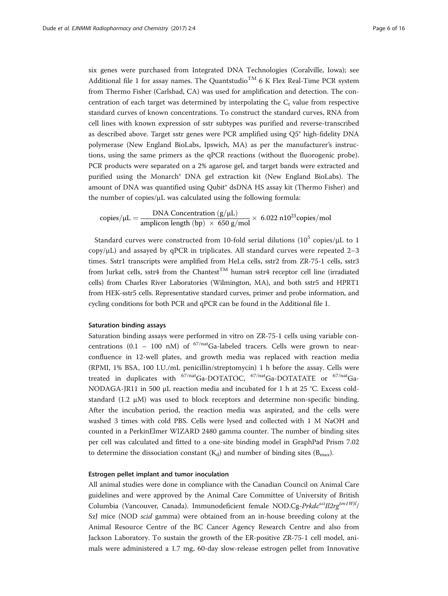six genes were purchased from Integrated DNA Technologies (Coralville, Iowa); see Additional file [1](#page-13-0) for assay names. The Quantstudio<sup>TM</sup> 6 K Flex Real-Time PCR system from Thermo Fisher (Carlsbad, CA) was used for amplification and detection. The concentration of each target was determined by interpolating the  $C_t$  value from respective standard curves of known concentrations. To construct the standard curves, RNA from cell lines with known expression of sstr subtypes was purified and reverse-transcribed as described above. Target sstr genes were PCR amplified using Q5® high-fidelity DNA polymerase (New England BioLabs, Ipswich, MA) as per the manufacturer's instructions, using the same primers as the qPCR reactions (without the fluorogenic probe). PCR products were separated on a 2% agarose gel, and target bands were extracted and purified using the Monarch® DNA gel extraction kit (New England BioLabs). The amount of DNA was quantified using Qubit<sup>®</sup> dsDNA HS assay kit (Thermo Fisher) and the number of copies/μL was calculated using the following formula:

copies/ $\mu$ L =  $\frac{DNA \text{ Concentration } (g/\mu L)}{\text{amplicon length } (bp) \times 650 \text{ g/mol}} \times 6.022 \text{ n}10^{23} \text{copies/mol}$ 

Standard curves were constructed from 10-fold serial dilutions ( $10^5$  copies/ $\mu$ L to 1  $\text{copy/}\mu\text{L}$ ) and assayed by qPCR in triplicates. All standard curves were repeated 2–3 times. Sstr1 transcripts were amplified from HeLa cells, sstr2 from ZR-75-1 cells, sstr3 from Jurkat cells, sstr4 from the Chantest<sup>TM</sup> human sstr4 receptor cell line (irradiated cells) from Charles River Laboratories (Wilmington, MA), and both sstr5 and HPRT1 from HEK-sstr5 cells. Representative standard curves, primer and probe information, and cycling conditions for both PCR and qPCR can be found in the Additional file [1](#page-13-0).

#### Saturation binding assays

Saturation binding assays were performed in vitro on ZR-75-1 cells using variable concentrations (0.1 – 100 nM) of  $67/nat$ Ga-labeled tracers. Cells were grown to nearconfluence in 12-well plates, and growth media was replaced with reaction media (RPMI, 1% BSA, 100 I.U./mL penicillin/streptomycin) 1 h before the assay. Cells were treated in duplicates with  $67/nat$ Ga-DOTATOC,  $67/nat$ Ga-DOTATATE or  $67/nat$ Ga-NODAGA-JR11 in 500 μL reaction media and incubated for 1 h at 25 °C. Excess coldstandard (1.2 μM) was used to block receptors and determine non-specific binding. After the incubation period, the reaction media was aspirated, and the cells were washed 3 times with cold PBS. Cells were lysed and collected with 1 M NaOH and counted in a PerkinElmer WIZARD 2480 gamma counter. The number of binding sites per cell was calculated and fitted to a one-site binding model in GraphPad Prism 7.02 to determine the dissociation constant  $(K_d)$  and number of binding sites  $(B_{\text{max}})$ .

#### Estrogen pellet implant and tumor inoculation

All animal studies were done in compliance with the Canadian Council on Animal Care guidelines and were approved by the Animal Care Committee of University of British Columbia (Vancouver, Canada). Immunodeficient female NOD.Cg-Prkdc<sup>sci</sup>Il2rg<sup>tm1Wjl</sup>/ SzJ mice (NOD scid gamma) were obtained from an in-house breeding colony at the Animal Resource Centre of the BC Cancer Agency Research Centre and also from Jackson Laboratory. To sustain the growth of the ER-positive ZR-75-1 cell model, animals were administered a 1.7 mg, 60-day slow-release estrogen pellet from Innovative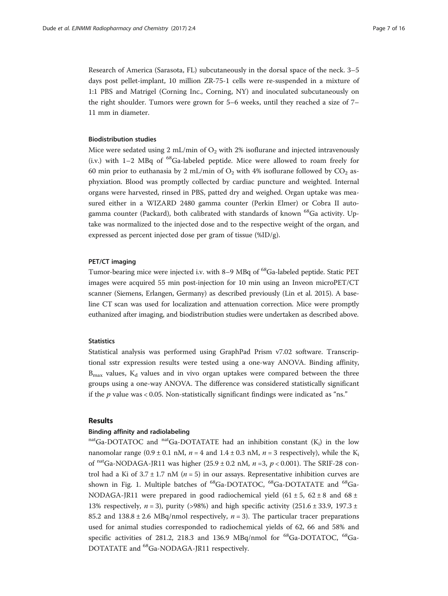Research of America (Sarasota, FL) subcutaneously in the dorsal space of the neck. 3–5 days post pellet-implant, 10 million ZR-75-1 cells were re-suspended in a mixture of 1:1 PBS and Matrigel (Corning Inc., Corning, NY) and inoculated subcutaneously on the right shoulder. Tumors were grown for 5–6 weeks, until they reached a size of 7– 11 mm in diameter.

# Biodistribution studies

Mice were sedated using  $2 \text{ mL/min}$  of  $\text{O}_2$  with  $2\%$  isoflurane and injected intravenously (i.v.) with  $1-2$  MBq of  ${}^{68}$ Ga-labeled peptide. Mice were allowed to roam freely for 60 min prior to euthanasia by 2 mL/min of  $O<sub>2</sub>$  with 4% isoflurane followed by  $CO<sub>2</sub>$  asphyxiation. Blood was promptly collected by cardiac puncture and weighted. Internal organs were harvested, rinsed in PBS, patted dry and weighed. Organ uptake was measured either in a WIZARD 2480 gamma counter (Perkin Elmer) or Cobra II autogamma counter (Packard), both calibrated with standards of known <sup>68</sup>Ga activity. Uptake was normalized to the injected dose and to the respective weight of the organ, and expressed as percent injected dose per gram of tissue (%ID/g).

#### PET/CT imaging

Tumor-bearing mice were injected i.v. with 8–9 MBq of <sup>68</sup>Ga-labeled peptide. Static PET images were acquired 55 min post-injection for 10 min using an Inveon microPET/CT scanner (Siemens, Erlangen, Germany) as described previously (Lin et al. [2015\)](#page-14-0). A baseline CT scan was used for localization and attenuation correction. Mice were promptly euthanized after imaging, and biodistribution studies were undertaken as described above.

# **Statistics**

Statistical analysis was performed using GraphPad Prism v7.02 software. Transcriptional sstr expression results were tested using a one-way ANOVA. Binding affinity,  $B_{\text{max}}$  values,  $K_d$  values and in vivo organ uptakes were compared between the three groups using a one-way ANOVA. The difference was considered statistically significant if the  $p$  value was  $< 0.05$ . Non-statistically significant findings were indicated as "ns."

# Results

# Binding affinity and radiolabeling

nat<sub>Ga-DOTATOC</sub> and nat<sub>Ga-DOTATATE</sub> had an inhibition constant  $(K_i)$  in the low nanomolar range (0.9 ± 0.1 nM,  $n = 4$  and 1.4 ± 0.3 nM,  $n = 3$  respectively), while the K<sub>i</sub> of natGa-NODAGA-JR11 was higher (25.9 ± 0.2 nM,  $n = 3$ ,  $p < 0.001$ ). The SRIF-28 control had a Ki of  $3.7 \pm 1.7$  nM ( $n = 5$ ) in our assays. Representative inhibition curves are shown in Fig. [1](#page-7-0). Multiple batches of  ${}^{68}$ Ga-DOTATOC,  ${}^{68}$ Ga-DOTATATE and  ${}^{68}$ Ga-NODAGA-JR11 were prepared in good radiochemical yield  $(61 \pm 5, 62 \pm 8)$  and  $68 \pm 1$ 13% respectively,  $n = 3$ ), purity (>98%) and high specific activity (251.6 ± 33.9, 197.3 ± 85.2 and  $138.8 \pm 2.6$  MBq/nmol respectively,  $n = 3$ ). The particular tracer preparations used for animal studies corresponded to radiochemical yields of 62, 66 and 58% and specific activities of 281.2, 218.3 and 136.9 MBq/nmol for  $^{68}$ Ga-DOTATOC,  $^{68}$ Ga-DOTATATE and 68Ga-NODAGA-JR11 respectively.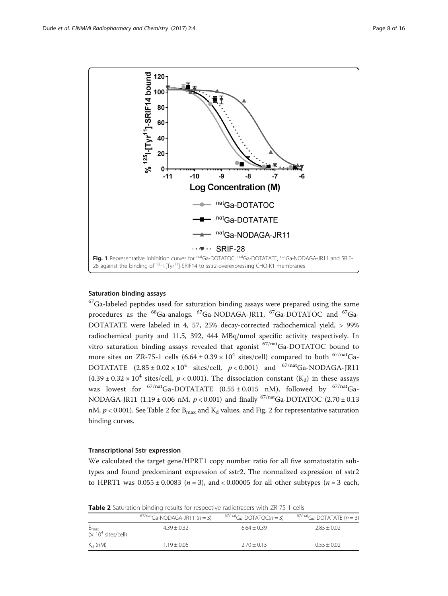<span id="page-7-0"></span>

#### Saturation binding assays

 $67$ Ga-labeled peptides used for saturation binding assays were prepared using the same procedures as the <sup>68</sup>Ga-analogs. <sup>67</sup>Ga-NODAGA-JR11, <sup>67</sup>Ga-DOTATOC and <sup>67</sup>Ga-DOTATATE were labeled in 4, 57, 25% decay-corrected radiochemical yield, > 99% radiochemical purity and 11.5, 392, 444 MBq/nmol specific activity respectively. In vitro saturation binding assays revealed that agonist <sup>67/nat</sup>Ga-DOTATOC bound to more sites on ZR-75-1 cells  $(6.64 \pm 0.39 \times 10^4 \text{ sites/cell})$  compared to both <sup>67/nat</sup>Ga-DOTATATE  $(2.85 \pm 0.02 \times 10^4 \text{ sites/cell}, p < 0.001)$  and <sup>67/nat</sup>Ga-NODAGA-JR11  $(4.39 \pm 0.32 \times 10^4$  sites/cell,  $p < 0.001$ ). The dissociation constant  $(K_d)$  in these assays was lowest for  $67/nat$ Ga-DOTATATE (0.55 ± 0.015 nM), followed by  $67/nat$ Ga-NODAGA-JR11 (1.19 ± 0.06 nM,  $p < 0.001$ ) and finally <sup>67/nat</sup>Ga-DOTATOC (2.70 ± 0.13 nM,  $p < 0.001$ ). See Table [2](#page-8-0) for B<sub>max</sub> and K<sub>d</sub> values, and Fig. 2 for representative saturation binding curves.

### Transcriptional Sstr expression

We calculated the target gene/HPRT1 copy number ratio for all five somatostatin subtypes and found predominant expression of sstr2. The normalized expression of sstr2 to HPRT1 was  $0.055 \pm 0.0083$  ( $n = 3$ ), and < 0.00005 for all other subtypes ( $n = 3$  each,

Table 2 Saturation binding results for respective radiotracers with ZR-75-1 cells

|                                                            | $67/nat$ Ga-NODAGA-JR11 ( $n = 3$ ) | $67/nat$ Ga-DOTATOC( $n = 3$ ) | $67/nat$ Ga-DOTATATE ( $n = 3$ ) |  |  |
|------------------------------------------------------------|-------------------------------------|--------------------------------|----------------------------------|--|--|
| $B_{\text{max}}$<br>( $\times$ 10 <sup>4</sup> sites/cell) | $4.39 + 0.32$                       | $6.64 + 0.39$                  | $2.85 + 0.02$                    |  |  |
| $K_{\rm d}$ (nM)                                           | $1.19 + 0.06$                       | $2.70 + 0.13$                  | $0.55 + 0.02$                    |  |  |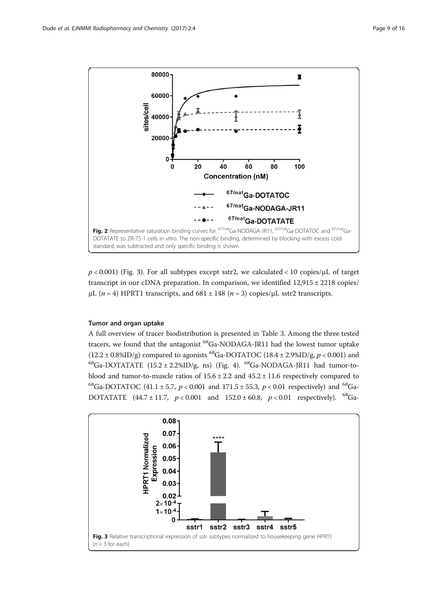<span id="page-8-0"></span>

 $p < 0.001$ ) (Fig. 3). For all subtypes except sstr2, we calculated  $< 10$  copies/ $\mu$ L of target transcript in our cDNA preparation. In comparison, we identified 12,915 ± 2218 copies/ μL ( $n = 4$ ) HPRT1 transcripts, and  $681 \pm 148$  ( $n = 3$ ) copies/μL sstr2 transcripts.

# Tumor and organ uptake

A full overview of tracer biodistribution is presented in Table [3.](#page-9-0) Among the three tested tracers, we found that the antagonist <sup>68</sup>Ga-NODAGA-JR11 had the lowest tumor uptake  $(12.2 \pm 0.8\%$ ID/g) compared to agonists <sup>68</sup>Ga-DOTATOC (18.4  $\pm$  2.9%ID/g, p < 0.001) and  $^{68}$ Ga-DOTATATE (15.2 ± 2.2%ID/g, ns) (Fig. [4](#page-9-0)).  $^{68}$ Ga-NODAGA-JR11 had tumor-toblood and tumor-to-muscle ratios of  $15.6 \pm 2.2$  and  $45.2 \pm 11.6$  respectively compared to <sup>68</sup>Ga-DOTATOC (41.1 ± 5.7,  $p < 0.001$  and 171.5 ± 55.3,  $p < 0.01$  respectively) and <sup>68</sup>Ga-DOTATATE (44.7 ± 11.7,  $p < 0.001$  and  $152.0 \pm 60.8$ ,  $p < 0.01$  respectively). <sup>68</sup>Ga-

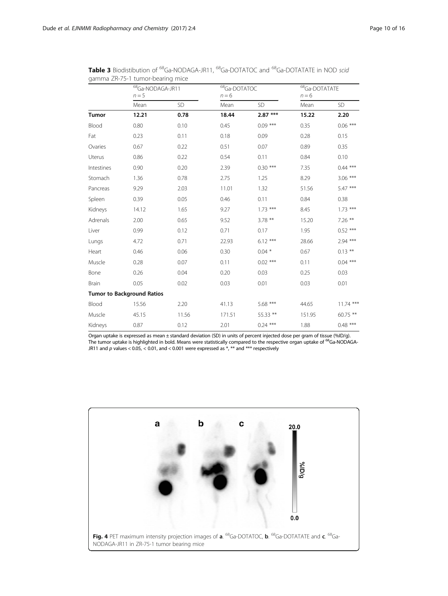|              |                                   | <sup>68</sup> Ga-NODAGA-JR11<br>$n = 5$ |        | <sup>68</sup> Ga-DOTATOC<br>$n = 6$ |        | 68Ga-DOTATATE<br>$n = 6$ |  |
|--------------|-----------------------------------|-----------------------------------------|--------|-------------------------------------|--------|--------------------------|--|
|              |                                   |                                         |        |                                     |        |                          |  |
|              | Mean                              | <b>SD</b>                               | Mean   | <b>SD</b>                           | Mean   | SD                       |  |
| <b>Tumor</b> | 12.21                             | 0.78                                    | 18.44  | $2.87***$                           | 15.22  | 2.20                     |  |
| Blood        | 0.80                              | 0.10                                    | 0.45   | $0.09***$                           | 0.35   | $0.06***$                |  |
| Fat          | 0.23                              | 0.11                                    | 0.18   | 0.09                                | 0.28   | 0.15                     |  |
| Ovaries      | 0.67                              | 0.22                                    | 0.51   | 0.07                                | 0.89   | 0.35                     |  |
| Uterus       | 0.86                              | 0.22                                    | 0.54   | 0.11                                | 0.84   | 0.10                     |  |
| Intestines   | 0.90                              | 0.20                                    | 2.39   | $0.30***$                           | 7.35   | $0.44***$                |  |
| Stomach      | 1.36                              | 0.78                                    | 2.75   | 1.25                                | 8.29   | $3.06***$                |  |
| Pancreas     | 9.29                              | 2.03                                    | 11.01  | 1.32                                | 51.56  | 5.47 ***                 |  |
| Spleen       | 0.39                              | 0.05                                    | 0.46   | 0.11                                | 0.84   | 0.38                     |  |
| Kidneys      | 14.12                             | 1.65                                    | 9.27   | $1.73***$                           | 8.45   | $1.73***$                |  |
| Adrenals     | 2.00                              | 0.65                                    | 9.52   | $3.78$ **                           | 15.20  | $7.26$ **                |  |
| Liver        | 0.99                              | 0.12                                    | 0.71   | 0.17                                | 1.95   | $0.52***$                |  |
| Lungs        | 4.72                              | 0.71                                    | 22.93  | $6.12***$                           | 28.66  | 2.94 ***                 |  |
| Heart        | 0.46                              | 0.06                                    | 0.30   | $0.04*$                             | 0.67   | $0.13***$                |  |
| Muscle       | 0.28                              | 0.07                                    | 0.11   | $0.02$ ***                          | 0.11   | $0.04***$                |  |
| Bone         | 0.26                              | 0.04                                    | 0.20   | 0.03                                | 0.25   | 0.03                     |  |
| Brain        | 0.05                              | 0.02                                    | 0.03   | 0.01                                | 0.03   | 0.01                     |  |
|              | <b>Tumor to Background Ratios</b> |                                         |        |                                     |        |                          |  |
| Blood        | 15.56                             | 2.20                                    | 41.13  | 5.68 ***                            | 44.65  | $11.74$ ***              |  |
| Muscle       | 45.15                             | 11.56                                   | 171.51 | 55.33 **                            | 151.95 | 60.75 **                 |  |
| Kidneys      | 0.87                              | 0.12                                    | 2.01   | $0.24***$                           | 1.88   | $0.48***$                |  |

<span id="page-9-0"></span>Table 3 Biodistibution of <sup>68</sup>Ga-NODAGA-JR11, <sup>68</sup>Ga-DOTATOC and <sup>68</sup>Ga-DOTATATE in NOD scid gamma ZR-75-1 tumor-bearing mice

Organ uptake is expressed as mean ± standard deviation (SD) in units of percent injected dose per gram of tissue (%ID/g). The tumor uptake is highlighted in bold. Means were statistically compared to the respective organ uptake of <sup>68</sup>Ga-NODAGA-JR11 and p values < 0.05, < 0.01, and < 0.001 were expressed as \*, \*\* and \*\*\* respectively

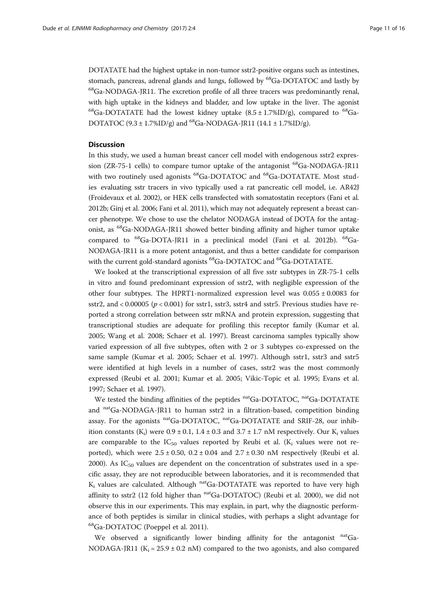DOTATATE had the highest uptake in non-tumor sstr2-positive organs such as intestines, stomach, pancreas, adrenal glands and lungs, followed by <sup>68</sup>Ga-DOTATOC and lastly by 68Ga-NODAGA-JR11. The excretion profile of all three tracers was predominantly renal, with high uptake in the kidneys and bladder, and low uptake in the liver. The agonist <sup>68</sup>Ga-DOTATATE had the lowest kidney uptake  $(8.5 \pm 1.7\%$ ID/g), compared to <sup>68</sup>Ga-DOTATOC (9.3 ± 1.7%ID/g) and <sup>68</sup>Ga-NODAGA-JR11 (14.1 ± 1.7%ID/g).

## **Discussion**

In this study, we used a human breast cancer cell model with endogenous sstr2 expression (ZR-75-1 cells) to compare tumor uptake of the antagonist  $^{68}$ Ga-NODAGA-JR11 with two routinely used agonists <sup>68</sup>Ga-DOTATOC and <sup>68</sup>Ga-DOTATATE. Most studies evaluating sstr tracers in vivo typically used a rat pancreatic cell model, i.e. AR42J (Froidevaux et al. [2002\)](#page-14-0), or HEK cells transfected with somatostatin receptors (Fani et al. [2012b](#page-14-0); Ginj et al. [2006](#page-14-0); Fani et al. [2011\)](#page-14-0), which may not adequately represent a breast cancer phenotype. We chose to use the chelator NODAGA instead of DOTA for the antagonist, as <sup>68</sup>Ga-NODAGA-JR11 showed better binding affinity and higher tumor uptake compared to <sup>68</sup>Ga-DOTA-JR11 in a preclinical model (Fani et al. [2012b\)](#page-14-0). <sup>68</sup>Ga-NODAGA-JR11 is a more potent antagonist, and thus a better candidate for comparison with the current gold-standard agonists <sup>68</sup>Ga-DOTATOC and <sup>68</sup>Ga-DOTATATE.

We looked at the transcriptional expression of all five sstr subtypes in ZR-75-1 cells in vitro and found predominant expression of sstr2, with negligible expression of the other four subtypes. The HPRT1-normalized expression level was  $0.055 \pm 0.0083$  for sstr2, and < 0.00005 ( $p < 0.001$ ) for sstr1, sstr3, sstr4 and sstr5. Previous studies have reported a strong correlation between sstr mRNA and protein expression, suggesting that transcriptional studies are adequate for profiling this receptor family (Kumar et al. [2005](#page-14-0); Wang et al. [2008;](#page-15-0) Schaer et al. [1997\)](#page-15-0). Breast carcinoma samples typically show varied expression of all five subtypes, often with 2 or 3 subtypes co-expressed on the same sample (Kumar et al. [2005](#page-14-0); Schaer et al. [1997\)](#page-15-0). Although sstr1, sstr3 and sstr5 were identified at high levels in a number of cases, sstr2 was the most commonly expressed (Reubi et al. [2001;](#page-15-0) Kumar et al. [2005;](#page-14-0) Vikic-Topic et al. [1995;](#page-15-0) Evans et al. [1997](#page-14-0); Schaer et al. [1997\)](#page-15-0).

We tested the binding affinities of the peptides  $<sup>nat</sup>Ga-DOTATOC$ ,  $<sup>nat</sup>Ga-DOTATATE$ </sup></sup> and natGa-NODAGA-JR11 to human sstr2 in a filtration-based, competition binding assay. For the agonists natGa-DOTATOC, natGa-DOTATATE and SRIF-28, our inhibition constants  $(K_i)$  were  $0.9 \pm 0.1$ ,  $1.4 \pm 0.3$  and  $3.7 \pm 1.7$  nM respectively. Our  $K_i$  values are comparable to the  $IC_{50}$  values reported by Reubi et al. ( $K_i$  values were not reported), which were  $2.5 \pm 0.50$ ,  $0.2 \pm 0.04$  and  $2.7 \pm 0.30$  nM respectively (Reubi et al. [2000](#page-15-0)). As  $IC_{50}$  values are dependent on the concentration of substrates used in a specific assay, they are not reproducible between laboratories, and it is recommended that  $K_i$  values are calculated. Although  $n \text{at}$  Ga-DOTATATE was reported to have very high affinity to sstr2 (12 fold higher than  $n$ <sup>at</sup>Ga-DOTATOC) (Reubi et al. [2000\)](#page-15-0), we did not observe this in our experiments. This may explain, in part, why the diagnostic performance of both peptides is similar in clinical studies, with perhaps a slight advantage for <sup>68</sup>Ga-DOTATOC (Poeppel et al. [2011\)](#page-15-0).

We observed a significantly lower binding affinity for the antagonist  $^{nat}Ga-$ NODAGA-JR11 ( $K_i = 25.9 \pm 0.2$  nM) compared to the two agonists, and also compared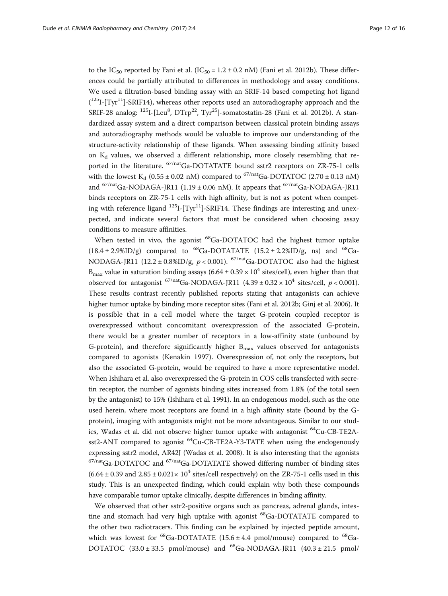to the IC<sub>50</sub> reported by Fani et al. (IC<sub>50</sub> = 1.2  $\pm$  0.2 nM) (Fani et al. [2012b\)](#page-14-0). These differences could be partially attributed to differences in methodology and assay conditions. We used a filtration-based binding assay with an SRIF-14 based competing hot ligand  $(^{125}I - [Tyr^{11}] - SRIF14)$ , whereas other reports used an autoradiography approach and the SRIF-28 analog:  $^{125}$ I-[Leu $^8$ , DTrp $^{22}$ , Tyr $^{25}$ ]-somatostatin-28 (Fani et al. [2012b\)](#page-14-0). A standardized assay system and a direct comparison between classical protein binding assays and autoradiography methods would be valuable to improve our understanding of the structure-activity relationship of these ligands. When assessing binding affinity based on  $K_d$  values, we observed a different relationship, more closely resembling that reported in the literature. <sup>67/nat</sup>Ga-DOTATATE bound sstr2 receptors on ZR-75-1 cells with the lowest K<sub>d</sub> (0.55 ± 0.02 nM) compared to <sup>67/nat</sup>Ga-DOTATOC (2.70 ± 0.13 nM) and  $67/natGa-NODAGA-JR11$  (1.19 ± 0.06 nM). It appears that  $67/natGa-NODAGA-JR11$ binds receptors on ZR-75-1 cells with high affinity, but is not as potent when competing with reference ligand  $^{125}$ I-[Tyr<sup>11</sup>]-SRIF14. These findings are interesting and unexpected, and indicate several factors that must be considered when choosing assay conditions to measure affinities.

When tested in vivo, the agonist <sup>68</sup>Ga-DOTATOC had the highest tumor uptake  $(18.4 \pm 2.9\%$ ID/g) compared to <sup>68</sup>Ga-DOTATATE  $(15.2 \pm 2.2\%$ ID/g, ns) and <sup>68</sup>Ga-NODAGA-JR11 (12.2 ± 0.8%ID/g,  $p < 0.001$ ). <sup>67/nat</sup>Ga-DOTATOC also had the highest  $B_{\text{max}}$  value in saturation binding assays (6.64 ± 0.39 × 10<sup>4</sup> sites/cell), even higher than that observed for antagonist  $^{67/nat}$ Ga-NODAGA-JR11 (4.39 ± 0.32 × 10<sup>4</sup> sites/cell, p < 0.001). These results contrast recently published reports stating that antagonists can achieve higher tumor uptake by binding more receptor sites (Fani et al. [2012b](#page-14-0); Ginj et al. [2006](#page-14-0)). It is possible that in a cell model where the target G-protein coupled receptor is overexpressed without concomitant overexpression of the associated G-protein, there would be a greater number of receptors in a low-affinity state (unbound by G-protein), and therefore significantly higher  $B_{\text{max}}$  values observed for antagonists compared to agonists (Kenakin [1997](#page-14-0)). Overexpression of, not only the receptors, but also the associated G-protein, would be required to have a more representative model. When Ishihara et al. also overexpressed the G-protein in COS cells transfected with secretin receptor, the number of agonists binding sites increased from 1.8% (of the total seen by the antagonist) to 15% (Ishihara et al. [1991](#page-14-0)). In an endogenous model, such as the one used herein, where most receptors are found in a high affinity state (bound by the Gprotein), imaging with antagonists might not be more advantageous. Similar to our studies, Wadas et al. did not observe higher tumor uptake with antagonist <sup>64</sup>Cu-CB-TE2Asst2-ANT compared to agonist  $^{64}Cu-CB-TE2A-Y3-TATE$  when using the endogenously expressing sstr2 model, AR42J (Wadas et al. [2008](#page-15-0)). It is also interesting that the agonists  $67$ /nat<sub>Ga-DOTATOC</sub> and  $67$ /nat<sub>Ga-DOTATATE</sub> showed differing number of binding sites  $(6.64 \pm 0.39 \text{ and } 2.85 \pm 0.021 \times 10^4 \text{ sites/cell respectively})$  on the ZR-75-1 cells used in this study. This is an unexpected finding, which could explain why both these compounds have comparable tumor uptake clinically, despite differences in binding affinity.

We observed that other sstr2-positive organs such as pancreas, adrenal glands, intestine and stomach had very high uptake with agonist  $^{68}$ Ga-DOTATATE compared to the other two radiotracers. This finding can be explained by injected peptide amount, which was lowest for <sup>68</sup>Ga-DOTATATE (15.6  $\pm$  4.4 pmol/mouse) compared to <sup>68</sup>Ga-DOTATOC  $(33.0 \pm 33.5 \text{ pmol/mouse})$  and <sup>68</sup>Ga-NODAGA-JR11  $(40.3 \pm 21.5 \text{ pmol/mo}$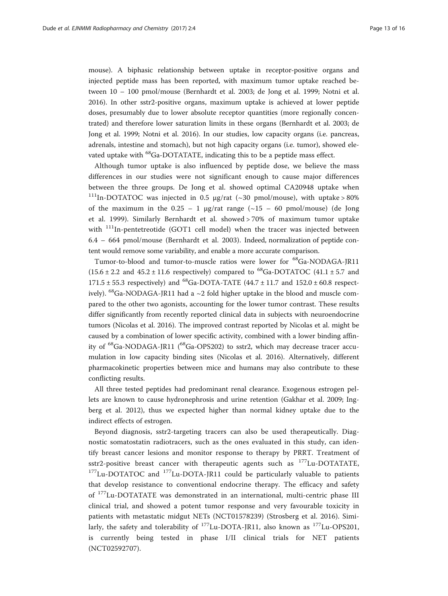mouse). A biphasic relationship between uptake in receptor-positive organs and injected peptide mass has been reported, with maximum tumor uptake reached between 10 – 100 pmol/mouse (Bernhardt et al. [2003;](#page-14-0) de Jong et al. [1999](#page-14-0); Notni et al. [2016](#page-15-0)). In other sstr2-positive organs, maximum uptake is achieved at lower peptide doses, presumably due to lower absolute receptor quantities (more regionally concentrated) and therefore lower saturation limits in these organs (Bernhardt et al. [2003](#page-14-0); de Jong et al. [1999;](#page-14-0) Notni et al. [2016](#page-15-0)). In our studies, low capacity organs (i.e. pancreas, adrenals, intestine and stomach), but not high capacity organs (i.e. tumor), showed elevated uptake with <sup>68</sup>Ga-DOTATATE, indicating this to be a peptide mass effect.

Although tumor uptake is also influenced by peptide dose, we believe the mass differences in our studies were not significant enough to cause major differences between the three groups. De Jong et al. showed optimal CA20948 uptake when <sup>111</sup>In-DOTATOC was injected in 0.5 μg/rat (~30 pmol/mouse), with uptake > 80% of the maximum in the  $0.25 - 1$  µg/rat range ( $\sim 15 - 60$  pmol/mouse) (de Jong et al. [1999\)](#page-14-0). Similarly Bernhardt et al. showed > 70% of maximum tumor uptake with  $111$ In-pentetreotide (GOT1 cell model) when the tracer was injected between 6.4 – 664 pmol/mouse (Bernhardt et al. [2003](#page-14-0)). Indeed, normalization of peptide content would remove some variability, and enable a more accurate comparison.

Tumor-to-blood and tumor-to-muscle ratios were lower for 68Ga-NODAGA-JR11  $(15.6 \pm 2.2 \text{ and } 45.2 \pm 11.6 \text{ respectively})$  compared to <sup>68</sup>Ga-DOTATOC  $(41.1 \pm 5.7 \text{ and } 45.2 \pm 11.6 \text{ respectively})$ 171.5  $\pm$  55.3 respectively) and <sup>68</sup>Ga-DOTA-TATE (44.7  $\pm$  11.7 and 152.0  $\pm$  60.8 respectively).  $^{68}$ Ga-NODAGA-JR11 had a  $\sim$ 2 fold higher uptake in the blood and muscle compared to the other two agonists, accounting for the lower tumor contrast. These results differ significantly from recently reported clinical data in subjects with neuroendocrine tumors (Nicolas et al. [2016\)](#page-15-0). The improved contrast reported by Nicolas et al. might be caused by a combination of lower specific activity, combined with a lower binding affinity of <sup>68</sup>Ga-NODAGA-JR11 (<sup>68</sup>Ga-OPS202) to sstr2, which may decrease tracer accumulation in low capacity binding sites (Nicolas et al. [2016](#page-15-0)). Alternatively, different pharmacokinetic properties between mice and humans may also contribute to these conflicting results.

All three tested peptides had predominant renal clearance. Exogenous estrogen pellets are known to cause hydronephrosis and urine retention (Gakhar et al. [2009;](#page-14-0) Ingberg et al. [2012](#page-14-0)), thus we expected higher than normal kidney uptake due to the indirect effects of estrogen.

Beyond diagnosis, sstr2-targeting tracers can also be used therapeutically. Diagnostic somatostatin radiotracers, such as the ones evaluated in this study, can identify breast cancer lesions and monitor response to therapy by PRRT. Treatment of sstr2-positive breast cancer with therapeutic agents such as  $^{177}$ Lu-DOTATATE,  $177$ Lu-DOTATOC and  $177$ Lu-DOTA-JR11 could be particularly valuable to patients that develop resistance to conventional endocrine therapy. The efficacy and safety of 177Lu-DOTATATE was demonstrated in an international, multi-centric phase III clinical trial, and showed a potent tumor response and very favourable toxicity in patients with metastatic midgut NETs (NCT01578239) (Strosberg et al. [2016](#page-15-0)). Similarly, the safety and tolerability of  $^{177}$ Lu-DOTA-JR11, also known as  $^{177}$ Lu-OPS201, is currently being tested in phase I/II clinical trials for NET patients (NCT02592707).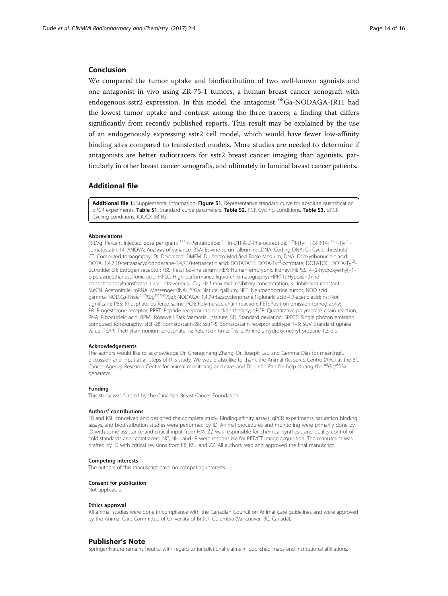# <span id="page-13-0"></span>Conclusion

We compared the tumor uptake and biodistribution of two well-known agonists and one antagonist in vivo using ZR-75-1 tumors, a human breast cancer xenograft with endogenous sstr2 expression. In this model, the antagonist <sup>68</sup>Ga-NODAGA-JR11 had the lowest tumor uptake and contrast among the three tracers; a finding that differs significantly from recently published reports. This result may be explained by the use of an endogenously expressing sstr2 cell model, which would have fewer low-affinity binding sites compared to transfected models. More studies are needed to determine if antagonists are better radiotracers for sstr2 breast cancer imaging than agonists, particularly in other breast cancer xenografts, and ultimately in luminal breast cancer patients.

#### Additional file

[Additional file 1:](dx.doi.org/10.1186/s41181-017-0023-y) Supplemental information. Figure S1. Representative standard curve for absolute quantification qPCR experiments. Table S1. Standard curve parameters. Table S2. PCR Cycling conditions. Table S3. qPCR Cycling conditions. (DOCX 38 kb)

#### Abbreviations

%ID/g: Percent injected dose per gram;  $^{111}$ In-Pentatrotide;  $^{111}$ In-DTPA-D-Phe-octreotide;  $^{125}$ I-ITyr<sup>11</sup>-SRIF14:  $^{125}$ I-Tyr<sup>11</sup> somatostatin 14; ANOVA: Analysis of variance; BSA: Bovine serum albumin; cDNA: Coding DNA; C<sub>t</sub>: Cycle threshold; CT: Computed tomography; DI: Deionized; DMEM: Dulbecco Modified Eagle Medium; DNA: Deoxyribonucleic acid; DOTA: 1,4,7,10-tetraazacyclododecane-1,4,7,10-tetraacetic acid; DOTATATE: DOTA-Tyr<sup>3</sup>-octrotate; DOTATOC: DOTA-Tyr<sup>3</sup> octrotide; ER: Estrogen receptor; FBS: Fetal bovine serum; HEK: Human embryonic kidney; HEPES: 4-(2-hydroxyethyl)-1 piperazineethanesulfonic acid; HPLC: High performance liquid chromatography; HPRT1: Hypoxanthine phosphoribosyltransferase 1; i.v.: Intravenous; IC<sub>50</sub>: Half maximal inhibitory concentration; K<sub>i</sub>: Inhibition constant; MeCN: Acetonitrile; mRNA: Messenger RNA; <sup>nat</sup>Ga: Natural gallium; NET: Neuroendocrine tumor; NOD scid gamma: NOD.Cg-Prkdc<sup>scid</sup>Il2rg<sup>tm1Wjl</sup>/SzJ; NODAGA: 1,4,7-triazacyclononane,1-glutaric acid-4,7-acetic acid; ns: Not significant; PBS: Phosphate buffered saline; PCR: Polymerase chain reaction; PET: Positron emission tomography; PR: Progesterone receptor; PRRT: Peptide receptor radionuclide therapy; qPCR: Quantitative polymerase chain reaction; RNA: Ribonucleic acid; RPMI: Rosewell Park Memorial Institute; SD: Standard deviation; SPECT: Single photon emission computed tomography; SRIF-28: Somatostatin-28; Sstr1-5: Somatostatin receptor subtype 1–5; SUV: Standard uptake value; TEAP: Triethylammonium phosphate; tR: Retention time; Tris: 2-Amino-2-hydroxymethyl-propane-1,3-diol

#### Acknowledgements

The authors would like to acknowledge Dr. Chengcheng Zhang, Dr. Joseph Lau and Gemma Dias for meaningful discussion and input at all steps of this study. We would also like to thank the Animal Resource Centre (ARC) at the BC Cancer Agency Research Center for animal monitoring and care, and Dr. Jinhe Pan for help eluting the <sup>68</sup>Ge/<sup>68</sup>Ga generator.

#### Funding

This study was funded by the Canadian Breast Cancer Foundation.

#### Authors' contributions

FB and KSL conceived and designed the complete study. Binding affinity assays, qPCR experiments, saturation binding assays, and biodistribution studies were performed by ID. Animal procedures and monitoring were primarily done by ID with some assistance and critical input from HM. ZZ was responsible for chemical synthesis and quality control of cold standards and radiotracers. NC, NHJ and JR were responsible for PET/CT image acquisition. The manuscript was drafted by ID with critical revisions from FB, KSL and ZZ. All authors read and approved the final manuscript.

#### Competing interests

The authors of this manuscript have no competing interests.

#### Consent for publication

Not applicable.

#### Ethics approval

All animal studies were done in compliance with the Canadian Council on Animal Care guidelines and were approved by the Animal Care Committee of University of British Columbia (Vancouver, BC, Canada).

#### Publisher's Note

Springer Nature remains neutral with regard to jurisdictional claims in published maps and institutional affiliations.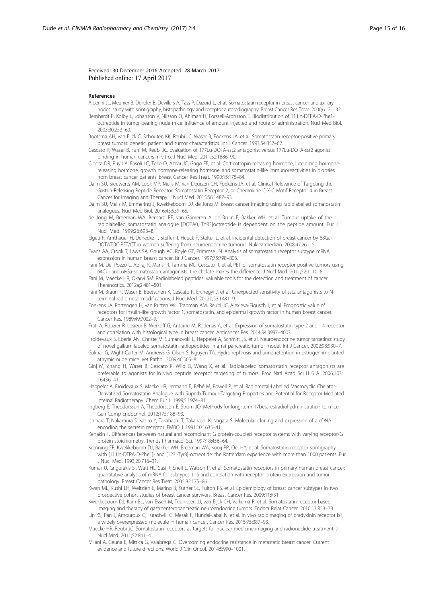#### <span id="page-14-0"></span>Received: 30 December 2016 Accepted: 28 March 2017 Published online: 17 April 2017

#### References

- Alberini JL, Meunier B, Denzler B, Devillers A, Tass P, Dazord L, et al. Somatostatin receptor in breast cancer and axillary nodes: study with scintigraphy, histopathology and receptor autoradiography. Breast Cancer Res Treat. 2000;61:21–32.
- Bernhardt P, Kolby L, Johanson V, Nilsson O, Ahlman H, Forssell-Aronsson E. Biodistribution of 111in-DTPA-D-Phe1 octreotide in tumor-bearing nude mice: influence of amount injected and route of administration. Nucl Med Biol. 2003;30:253–60.
- Bootsma AH, van Eijck C, Schouten KK, Reubi JC, Waser B, Foekens JA, et al. Somatostatin receptor-positive primary breast tumors: genetic, patient and tumor characteristics. Int J Cancer. 1993;54:357–62.
- Cescato R, Waser B, Fani M, Reubi JC. Evaluation of 177Lu-DOTA-sst2 antagonist versus 177Lu-DOTA-sst2 agonist binding in human cancers in vitro. J Nucl Med. 2011;52:1886–90.

Ciocca DR, Puy LA, Fasoli LC, Tello O, Aznar JC, Gago FE, et al. Corticotropin-releasing hormone, luteinizing hormonereleasing hormone, growth hormone-releasing hormone, and somatostatin-like immunoreactivities in biopsies from breast cancer patients. Breast Cancer Res Treat. 1990;15:175–84.

Dalm SU, Sieuwerts AM, Look MP, Melis M, van Deurzen CH, Foekens JA, et al. Clinical Relevance of Targeting the Gastrin-Releasing Peptide Receptor, Somatostatin Receptor 2, or Chemokine C-X-C Motif Receptor 4 in Breast Cancer for Imaging and Therapy. J Nucl Med. 2015;56:1487–93.

- Dalm SU, Melis M, Emmering J, Kwekkeboom DJ, de Jong M. Breast cancer imaging using radiolabelled somatostatin analogues. Nucl Med Biol. 2016;43:559–65.
- de Jong M, Breeman WA, Bernard BF, van Gameren A, de Bruin E, Bakker WH, et al. Tumour uptake of the radiolabelled somatostatin analogue [DOTA0, TYR3]octreotide is dependent on the peptide amount. Eur J Nucl Med. 1999;26:693–8.
- Elgeti F, Amthauer H, Denecke T, Steffen I, Heuck F, Stelter L, et al. Incidental detection of breast cancer by 68Ga-DOTATOC-PET/CT in women suffering from neuroendocrine tumours. Nuklearmedizin. 2008;47:261–5.
- Evans AA, Crook T, Laws SA, Gough AC, Royle GT, Primrose JN. Analysis of somatostatin receptor subtype mRNA expression in human breast cancer. Br J Cancer. 1997;75:798–803.
- Fani M, Del Pozzo L, Abiraj K, Mansi R, Tamma ML, Cescato R, et al. PET of somatostatin receptor-positive tumors using 64Cu- and 68Ga-somatostatin antagonists: the chelate makes the difference. J Nucl Med. 2011;52:1110–8.
- Fani M, Maecke HR, Okarvi SM. Radiolabeled peptides: valuable tools for the detection and treatment of cancer. Theranostics. 2012a;2:481–501.
- Fani M, Braun F, Waser B, Beetschen K, Cescato R, Erchegyi J, et al. Unexpected sensitivity of sst2 antagonists to Nterminal radiometal modifications. J Nucl Med. 2012b;53:1481–9.
- Foekens JA, Portengen H, van Putten WL, Trapman AM, Reubi JC, Alexieva-Figusch J, et al. Prognostic value of receptors for insulin-like growth factor 1, somatostatin, and epidermal growth factor in human breast cancer. Cancer Res. 1989;49:7002–9.
- Frati A, Rouzier R, Lesieur B, Werkoff G, Antoine M, Rodenas A, et al. Expression of somatostatin type-2 and −4 receptor and correlation with histological type in breast cancer. Anticancer Res. 2014;34:3997–4003.
- Froidevaux S, Eberle AN, Christe M, Sumanovski L, Heppeler A, Schmitt JS, et al. Neuroendocrine tumor targeting: study of novel gallium-labeled somatostatin radiopeptides in a rat pancreatic tumor model. Int J Cancer. 2002;98:930–7.
- Gakhar G, Wight-Carter M, Andrews G, Olson S, Nguyen TA. Hydronephrosis and urine retention in estrogen-implanted athymic nude mice. Vet Pathol. 2009;46:505–8.
- Ginj M, Zhang H, Waser B, Cescato R, Wild D, Wang X, et al. Radiolabeled somatostatin receptor antagonists are preferable to agonists for in vivo peptide receptor targeting of tumors. Proc Natl Acad Sci U S A. 2006;103: 16436–41.
- Heppeler A, Froidevaux S, Mäcke HR, Jermann E, Béhé M, Powell P, et al. Radiometal-Labelled Macrocyclic Chelator-Derivatised Somatostatin Analogue with Superb Tumour-Targeting Properties and Potential for Receptor-Mediated Internal Radiotherapy. Chem Eur J. 1999;5:1974–81.
- Ingberg E, Theodorsson A, Theodorsson E, Strom JO. Methods for long-term 17beta-estradiol administration to mice. Gen Comp Endocrinol. 2012;175:188–93.
- Ishihara T, Nakamura S, Kaziro Y, Takahashi T, Takahashi K, Nagata S. Molecular cloning and expression of a cDNA encoding the secretin receptor. EMBO J. 1991;10:1635–41.
- Kenakin T. Differences between natural and recombinant G protein-coupled receptor systems with varying receptor/G protein stoichiometry. Trends Pharmacol Sci. 1997;18:456–64.
- Krenning EP, Kwekkeboom DJ, Bakker WH, Breeman WA, Kooij PP, Oei HY, et al. Somatostatin receptor scintigraphy with [111In-DTPA-D-Phe1]- and [123I-Tyr3]-octreotide: the Rotterdam experience with more than 1000 patients. Eur J Nucl Med. 1993;20:716–31.
- Kumar U, Grigorakis SI, Watt HL, Sasi R, Snell L, Watson P, et al. Somatostatin receptors in primary human breast cancer: quantitative analysis of mRNA for subtypes 1–5 and correlation with receptor protein expression and tumor pathology. Breast Cancer Res Treat. 2005;92:175–86.
- Kwan ML, Kushi LH, Weltzien E, Maring B, Kutner SE, Fulton RS, et al. Epidemiology of breast cancer subtypes in two prospective cohort studies of breast cancer survivors. Breast Cancer Res. 2009;11:R31.
- Kwekkeboom DJ, Kam BL, van Essen M, Teunissen JJ, van Eijck CH, Valkema R, et al. Somatostatin-receptor-based imaging and therapy of gastroenteropancreatic neuroendocrine tumors. Endocr Relat Cancer. 2010;17:R53–73.
- Lin KS, Pan J, Amouroux G, Turashvili G, Mesak F, Hundal-Jabal N, et al. In vivo radioimaging of bradykinin receptor b1, a widely overexpressed molecule in human cancer. Cancer Res. 2015;75:387–93.
- Maecke HR, Reubi JC. Somatostatin receptors as targets for nuclear medicine imaging and radionuclide treatment. J Nucl Med. 2011;52:841–4.
- Milani A, Geuna E, Mittica G, Valabrega G. Overcoming endocrine resistance in metastatic breast cancer: Current evidence and future directions. World J Clin Oncol. 2014;5:990–1001.